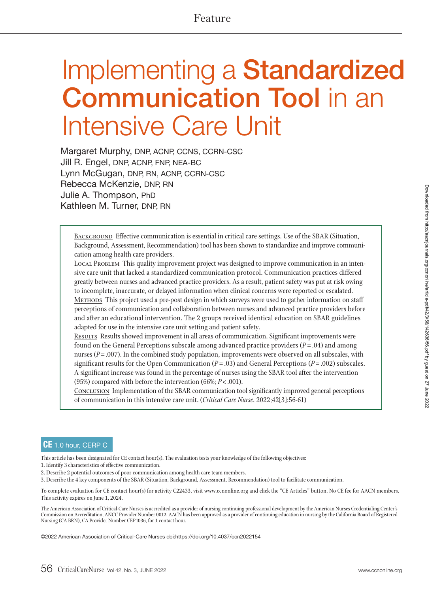# Implementing a **Standardized Communication Tool** in an Intensive Care Unit

Margaret Murphy, DNP, ACNP, CCNS, CCRN-CSC Jill R. Engel, DNP, ACNP, FNP, NEA-BC Lynn McGugan, DNP, RN, ACNP, CCRN-CSC Rebecca McKenzie, DNP, RN Julie A. Thompson, PhD Kathleen M. Turner, DNP, RN

BACKGROUND Effective communication is essential in critical care settings. Use of the SBAR (Situation, Background, Assessment, Recommendation) tool has been shown to standardize and improve communication among health care providers.

LOCAL PROBLEM This quality improvement project was designed to improve communication in an intensive care unit that lacked a standardized communication protocol. Communication practices differed greatly between nurses and advanced practice providers. As a result, patient safety was put at risk owing to incomplete, inaccurate, or delayed information when clinical concerns were reported or escalated. <sup>M</sup>ethods This project used a pre-post design in which surveys were used to gather information on staff perceptions of communication and collaboration between nurses and advanced practice providers before and after an educational intervention. The 2 groups received identical education on SBAR guidelines adapted for use in the intensive care unit setting and patient safety.

<sup>R</sup>esults Results showed improvement in all areas of communication. Significant improvements were found on the General Perceptions subscale among advanced practice providers (*P* = .04) and among nurses  $(P = .007)$ . In the combined study population, improvements were observed on all subscales, with significant results for the Open Communication  $(P = .03)$  and General Perceptions  $(P = .002)$  subscales. A significant increase was found in the percentage of nurses using the SBAR tool after the intervention (95%) compared with before the intervention (66%; *P* < .001).

<sup>C</sup>onclusion Implementation of the SBAR communication tool significantly improved general perceptions of communication in this intensive care unit. (*Critical Care Nurse*. 2022;42[3]:56-61)

#### **CE** 1.0 hour, CERP C

This article has been designated for CE contact hour(s). The evaluation tests your knowledge of the following objectives:

1. Identify 3 characteristics of effective communication.

- 2. Describe 2 potential outcomes of poor communication among health care team members.
- 3. Describe the 4 key components of the SBAR (Situation, Background, Assessment, Recommendation) tool to facilitate communication.

To complete evaluation for CE contact hour(s) for activity C22433, visit www.ccnonline.org and click the "CE Articles" button. No CE fee for AACN members. This activity expires on June 1, 2024.

The American Association of Critical-Care Nurses is accredited as a provider of nursing continuing professional development by the American Nurses Credentialing Center's Commission on Accreditation, ANCC Provider Number 0012. AACN has been approved as a provider of continuing education in nursing by the California Board of Registered Nursing (CA BRN), CA Provider Number CEP1036, for 1 contact hour.

©2022 American Association of Critical-Care Nurses doi:https://doi.org/10.4037/ccn2022154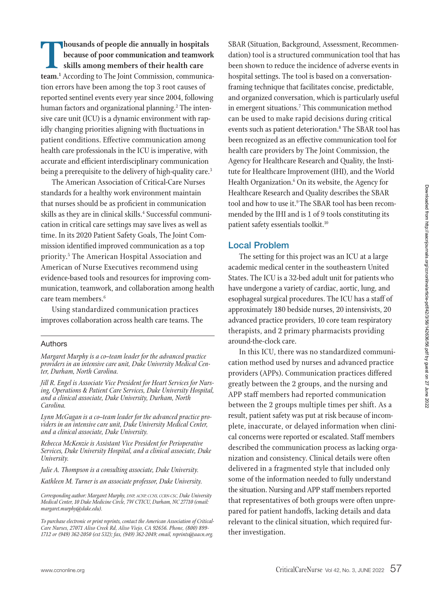**Thousands of people die annually in hospitals<br>
because of poor communication and teamworks<br>
skills among members of their health care<br>
team.<sup>1</sup> According to The Joint Commission, communication<br>
tion errors have been among because of poor communication and teamwork skills among members of their health care team.1** According to The Joint Commission, communication errors have been among the top 3 root causes of reported sentinel events every year since 2004, following human factors and organizational planning.<sup>2</sup> The intensive care unit (ICU) is a dynamic environment with rapidly changing priorities aligning with fluctuations in patient conditions. Effective communication among health care professionals in the ICU is imperative, with accurate and efficient interdisciplinary communication being a prerequisite to the delivery of high-quality care.<sup>3</sup>

The American Association of Critical-Care Nurses standards for a healthy work environment maintain that nurses should be as proficient in communication skills as they are in clinical skills.<sup>4</sup> Successful communication in critical care settings may save lives as well as time. In its 2020 Patient Safety Goals, The Joint Commission identified improved communication as a top priority.<sup>5</sup> The American Hospital Association and American of Nurse Executives recommend using evidence-based tools and resources for improving communication, teamwork, and collaboration among health care team members.6

Using standardized communication practices improves collaboration across health care teams. The

#### Authors

*Margaret Murphy is a co–team leader for the advanced practice providers in an intensive care unit, Duke University Medical Center, Durham, North Carolina.* 

*Jill R. Engel is Associate Vice President for Heart Services for Nursing, Operations & Patient Care Services, Duke University Hospital, and a clinical associate, Duke University, Durham, North Carolina.* 

*Lynn McGugan is a co–team leader for the advanced practice providers in an intensive care unit, Duke University Medical Center, and a clinical associate, Duke University.*

*Rebecca McKenzie is Assistant Vice President for Perioperative Services, Duke University Hospital, and a clinical associate, Duke University.*

*Julie A. Thompson is a consulting associate, Duke University.* 

*Kathleen M. Turner is an associate professor, Duke University.* 

*Corresponding author: Margaret Murphy, DNP, ACNP, CCNS, CCRN-CSC, Duke University Medical Center, 10 Duke Medicine Circle, 7W CTICU, Durham, NC 27710 (email: margaret.murphy@duke.edu).* 

*To purchase electronic or print reprints, contact the American Association of Critical-Care Nurses, 27071 Aliso Creek Rd, Aliso Viejo, CA 92656. Phone, (800) 899- 1712 or (949) 362-2050 (ext 532); fax, (949) 362-2049; email, reprints@aacn.org.*

SBAR (Situation, Background, Assessment, Recommendation) tool is a structured communication tool that has been shown to reduce the incidence of adverse events in hospital settings. The tool is based on a conversationframing technique that facilitates concise, predictable, and organized conversation, which is particularly useful in emergent situations.7 This communication method can be used to make rapid decisions during critical events such as patient deterioration.<sup>8</sup> The SBAR tool has been recognized as an effective communication tool for health care providers by The Joint Commission, the Agency for Healthcare Research and Quality, the Institute for Healthcare Improvement (IHI), and the World Health Organization.6 On its website, the Agency for Healthcare Research and Quality describes the SBAR tool and how to use it.<sup>9</sup> The SBAR tool has been recommended by the IHI and is 1 of 9 tools constituting its patient safety essentials toolkit.10

#### **Local Problem**

The setting for this project was an ICU at a large academic medical center in the southeastern United States. The ICU is a 32-bed adult unit for patients who have undergone a variety of cardiac, aortic, lung, and esophageal surgical procedures. The ICU has a staff of approximately 180 bedside nurses, 20 intensivists, 20 advanced practice providers, 10 core team respiratory therapists, and 2 primary pharmacists providing around-the-clock care.

In this ICU, there was no standardized communication method used by nurses and advanced practice providers (APPs). Communication practices differed greatly between the 2 groups, and the nursing and APP staff members had reported communication between the 2 groups multiple times per shift. As a result, patient safety was put at risk because of incomplete, inaccurate, or delayed information when clinical concerns were reported or escalated. Staff members described the communication process as lacking organization and consistency. Clinical details were often delivered in a fragmented style that included only some of the information needed to fully understand the situation. Nursing and APP staff members reported that representatives of both groups were often unprepared for patient handoffs, lacking details and data relevant to the clinical situation, which required further investigation.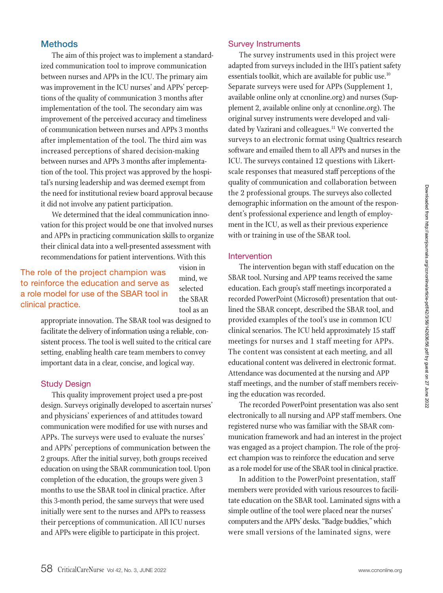## **Methods**

The aim of this project was to implement a standardized communication tool to improve communication between nurses and APPs in the ICU. The primary aim was improvement in the ICU nurses' and APPs' perceptions of the quality of communication 3 months after implementation of the tool. The secondary aim was improvement of the perceived accuracy and timeliness of communication between nurses and APPs 3 months after implementation of the tool. The third aim was increased perceptions of shared decision-making between nurses and APPs 3 months after implementation of the tool. This project was approved by the hospital's nursing leadership and was deemed exempt from the need for institutional review board approval because it did not involve any patient participation.

We determined that the ideal communication innovation for this project would be one that involved nurses and APPs in practicing communication skills to organize their clinical data into a well-presented assessment with recommendations for patient interventions. With this

# The role of the project champion was to reinforce the education and serve as a role model for use of the SBAR tool in clinical practice.

vision in mind, we selected the SBAR tool as an

appropriate innovation. The SBAR tool was designed to facilitate the delivery of information using a reliable, consistent process. The tool is well suited to the critical care setting, enabling health care team members to convey important data in a clear, concise, and logical way.

#### Study Design

This quality improvement project used a pre-post design. Surveys originally developed to ascertain nurses' and physicians' experiences of and attitudes toward communication were modified for use with nurses and APPs. The surveys were used to evaluate the nurses' and APPs' perceptions of communication between the 2 groups. After the initial survey, both groups received education on using the SBAR communication tool. Upon completion of the education, the groups were given 3 months to use the SBAR tool in clinical practice. After this 3-month period, the same surveys that were used initially were sent to the nurses and APPs to reassess their perceptions of communication. All ICU nurses and APPs were eligible to participate in this project.

#### Survey Instruments

The survey instruments used in this project were adapted from surveys included in the IHI's patient safety essentials toolkit, which are available for public use.<sup>10</sup> Separate surveys were used for APPs (Supplement 1, available online only at ccnonline.org) and nurses (Supplement 2, available online only at ccnonline.org). The original survey instruments were developed and validated by Vazirani and colleagues.<sup>11</sup> We converted the surveys to an electronic format using Qualtrics research software and emailed them to all APPs and nurses in the ICU. The surveys contained 12 questions with Likertscale responses that measured staff perceptions of the quality of communication and collaboration between the 2 professional groups. The surveys also collected demographic information on the amount of the respondent's professional experience and length of employment in the ICU, as well as their previous experience with or training in use of the SBAR tool.

#### Intervention

The intervention began with staff education on the SBAR tool. Nursing and APP teams received the same education. Each group's staff meetings incorporated a recorded PowerPoint (Microsoft) presentation that outlined the SBAR concept, described the SBAR tool, and provided examples of the tool's use in common ICU clinical scenarios. The ICU held approximately 15 staff meetings for nurses and 1 staff meeting for APPs. The content was consistent at each meeting, and all educational content was delivered in electronic format. Attendance was documented at the nursing and APP staff meetings, and the number of staff members receiving the education was recorded.

The recorded PowerPoint presentation was also sent electronically to all nursing and APP staff members. One registered nurse who was familiar with the SBAR communication framework and had an interest in the project was engaged as a project champion. The role of the project champion was to reinforce the education and serve as a role model for use of the SBAR tool in clinical practice.

In addition to the PowerPoint presentation, staff members were provided with various resources to facilitate education on the SBAR tool. Laminated signs with a simple outline of the tool were placed near the nurses' computers and the APPs' desks. "Badge buddies," which were small versions of the laminated signs, were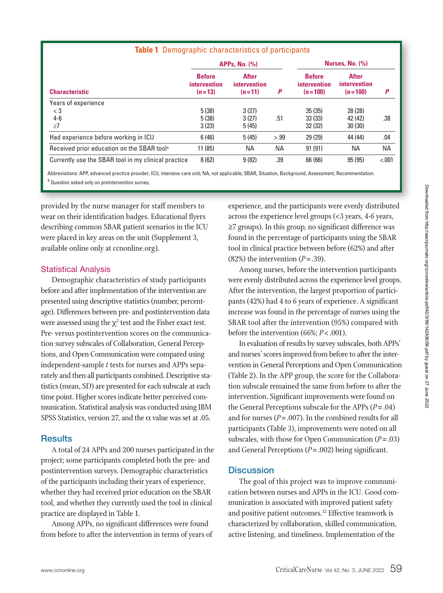| <b>Table 1</b> Demographic characteristics of participants |                                                  |                                          |           |                                            |                                           |           |
|------------------------------------------------------------|--------------------------------------------------|------------------------------------------|-----------|--------------------------------------------|-------------------------------------------|-----------|
|                                                            | <b>APPs. No. (%)</b>                             |                                          |           | Nurses, No. $(\%)$                         |                                           |           |
| <b>Characteristic</b>                                      | <b>Before</b><br><i>intervention</i><br>$(n=13)$ | <b>After</b><br>intervention<br>$(n=11)$ | P         | <b>Before</b><br>intervention<br>$(n=100)$ | <b>After</b><br>intervention<br>$(n=100)$ | P         |
| Years of experience                                        |                                                  |                                          |           |                                            |                                           |           |
| $<$ 3                                                      | 5(38)                                            | 3(27)                                    |           | 35(35)                                     | 28 (28)                                   |           |
| $4 - 6$                                                    | 5(38)                                            | 3(27)                                    | .51       | 33(33)                                     | 42 (42)                                   | .38       |
| $\geq 7$                                                   | 3(23)                                            | 5(45)                                    |           | 32(32)                                     | 30(30)                                    |           |
| Had experience before working in ICU                       | 6(46)                                            | 5(45)                                    | > .99     | 29(29)                                     | 44 (44)                                   | .04       |
| Received prior education on the SBAR tool <sup>a</sup>     | 11(85)                                           | ΝA                                       | <b>NA</b> | 91(91)                                     | NA.                                       | <b>NA</b> |
| Currently use the SBAR tool in my clinical practice        | 8(62)                                            | 9(82)                                    | .39       | 66 (66)                                    | 95(95)                                    | < .001    |

Abbreviations: APP, advanced practice provider; ICU, intensive care unit; NA, not applicable; SBAR, Situation, Background, Assessment, Recommendation. a Question asked only on preintervention survey.

provided by the nurse manager for staff members to wear on their identification badges. Educational flyers describing common SBAR patient scenarios in the ICU were placed in key areas on the unit (Supplement 3, available online only at ccnonline.org).

#### Statistical Analysis

Demographic characteristics of study participants before and after implementation of the intervention are presented using descriptive statistics (number, percentage). Differences between pre- and postintervention data were assessed using the  $\chi^2$  test and the Fisher exact test. Pre- versus postintervention scores on the communication survey subscales of Collaboration, General Perceptions, and Open Communication were compared using independent-sample *t* tests for nurses and APPs separately and then all participants combined. Descriptive statistics (mean, SD) are presented for each subscale at each time point. Higher scores indicate better perceived communication. Statistical analysis was conducted using IBM SPSS Statistics, version 27, and the  $\alpha$  value was set at .05.

#### **Results**

A total of 24 APPs and 200 nurses participated in the project; some participants completed both the pre- and postintervention surveys. Demographic characteristics of the participants including their years of experience, whether they had received prior education on the SBAR tool, and whether they currently used the tool in clinical practice are displayed in Table 1.

Among APPs, no significant differences were found from before to after the intervention in terms of years of

ided by the nurse manager for staff members to rexperience, and the participants were evenly distributed in  $\epsilon$ across the experience level groups (<3 years, 4-6 years, ≥7 groups). In this group, no significant difference was found in the percentage of participants using the SBAR tool in clinical practice between before (62%) and after (82%) the intervention  $(P=.39)$ .

> Among nurses, before the intervention participants were evenly distributed across the experience level groups. After the intervention, the largest proportion of participants (42%) had 4 to 6 years of experience. A significant increase was found in the percentage of nurses using the SBAR tool after the intervention (95%) compared with before the intervention (66%; *P*< .001).

> In evaluation of results by survey subscales, both APPs' and nurses' scores improved from before to after the intervention in General Perceptions and Open Communication (Table 2). In the APP group, the score for the Collaboration subscale remained the same from before to after the intervention. Significant improvements were found on the General Perceptions subscale for the APPs (*P*= .04) and for nurses ( $P = .007$ ). In the combined results for all participants (Table 3), improvements were noted on all subscales, with those for Open Communication (*P*= .03) and General Perceptions (*P*= .002) being significant.

### **Discussion**

The goal of this project was to improve communication between nurses and APPs in the ICU. Good communication is associated with improved patient safety and positive patient outcomes.<sup>12</sup> Effective teamwork is characterized by collaboration, skilled communication, active listening, and timeliness. Implementation of the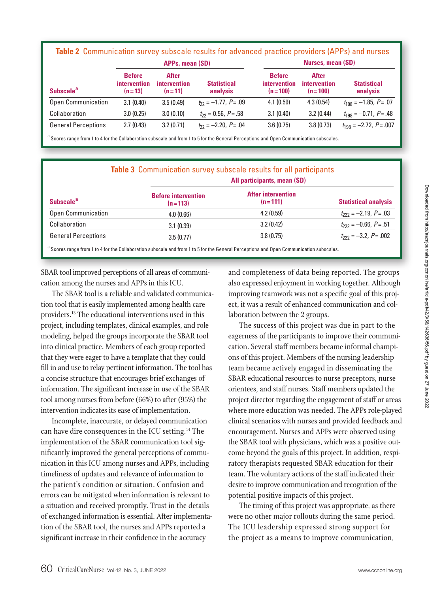| <b>APPs, mean (SD)</b>       |                                                  |                                                 |                                | <b>Nurses, mean (SD)</b>                   |                                                  |                                |
|------------------------------|--------------------------------------------------|-------------------------------------------------|--------------------------------|--------------------------------------------|--------------------------------------------------|--------------------------------|
| <b>Subscale</b> <sup>a</sup> | <b>Before</b><br><i>intervention</i><br>$(n=13)$ | <b>After</b><br><i>intervention</i><br>$(n=11)$ | <b>Statistical</b><br>analysis | <b>Before</b><br>intervention<br>$(n=100)$ | <b>After</b><br><i>intervention</i><br>$(n=100)$ | <b>Statistical</b><br>analysis |
| <b>Open Communication</b>    | 3.1(0.40)                                        | 3.5(0.49)                                       | $t_{22} = -1.77$ , $P = .09$   | 4.1(0.59)                                  | 4.3(0.54)                                        | $t_{198} = -1.85, P = .07$     |
| Collaboration                | 3.0(0.25)                                        | 3.0(0.10)                                       | $t_{22} = 0.56, P = .58$       | 3.1(0.40)                                  | 3.2(0.44)                                        | $t_{198} = -0.71$ , $P = .48$  |
| <b>General Perceptions</b>   | 2.7(0.43)                                        | 3.2(0.71)                                       | $t_{22} = -2.20$ , $P = .04$   | 3.6(0.75)                                  | 3.8(0.73)                                        | $t_{198} = -2.72$ , $P = .007$ |

<sup>a</sup> Scores range from 1 to 4 for the Collaboration subscale and from 1 to 5 for the General Perceptions and Open Communication subscales.

|                              |                                         | All participants, mean (SD)            |                               |
|------------------------------|-----------------------------------------|----------------------------------------|-------------------------------|
| <b>Subscale</b> <sup>a</sup> | <b>Before intervention</b><br>$(n=113)$ | <b>After intervention</b><br>$(n=111)$ | <b>Statistical analysis</b>   |
| Open Communication           | 4.0(0.66)                               | 4.2(0.59)                              | $t_{222} = -2.19$ , $P = .03$ |
| Collaboration                | 3.1(0.39)                               | 3.2(0.42)                              | $t_{222} = -0.66$ , $P = .51$ |
| <b>General Perceptions</b>   | 3.5(0.77)                               | 3.8(0.75)                              | $t_{222} = -3.2, P = .002$    |

SBAR tool improved perceptions of all areas of communi-changed completeness of data being reported. Th cation among the nurses and APPs in this ICU.

The SBAR tool is a reliable and validated communication tool that is easily implemented among health care providers.13 The educational interventions used in this project, including templates, clinical examples, and role modeling, helped the groups incorporate the SBAR tool into clinical practice. Members of each group reported that they were eager to have a template that they could fill in and use to relay pertinent information. The tool has a concise structure that encourages brief exchanges of information. The significant increase in use of the SBAR tool among nurses from before (66%) to after (95%) the intervention indicates its ease of implementation.

Incomplete, inaccurate, or delayed communication can have dire consequences in the ICU setting.14 The implementation of the SBAR communication tool significantly improved the general perceptions of communication in this ICU among nurses and APPs, including timeliness of updates and relevance of information to the patient's condition or situation. Confusion and errors can be mitigated when information is relevant to a situation and received promptly. Trust in the details of exchanged information is essential. After implementation of the SBAR tool, the nurses and APPs reported a significant increase in their confidence in the accuracy

and completeness of data being reported. The groups also expressed enjoyment in working together. Although improving teamwork was not a specific goal of this project, it was a result of enhanced communication and collaboration between the 2 groups.

The success of this project was due in part to the eagerness of the participants to improve their communication. Several staff members became informal champions of this project. Members of the nursing leadership team became actively engaged in disseminating the SBAR educational resources to nurse preceptors, nurse orientees, and staff nurses. Staff members updated the project director regarding the engagement of staff or areas where more education was needed. The APPs role-played clinical scenarios with nurses and provided feedback and encouragement. Nurses and APPs were observed using the SBAR tool with physicians, which was a positive outcome beyond the goals of this project. In addition, respiratory therapists requested SBAR education for their team. The voluntary actions of the staff indicated their desire to improve communication and recognition of the potential positive impacts of this project.

The timing of this project was appropriate, as there were no other major rollouts during the same period. The ICU leadership expressed strong support for the project as a means to improve communication,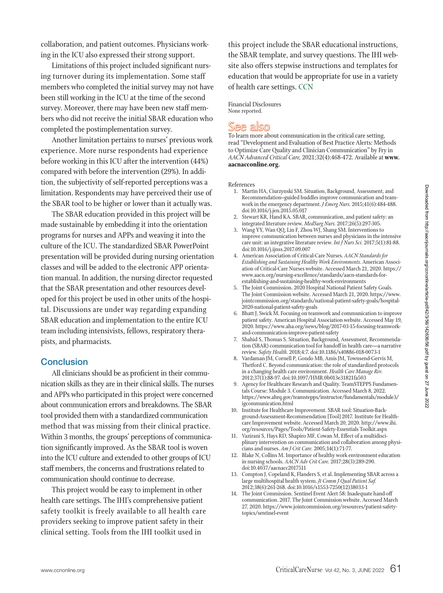collaboration, and patient outcomes. Physicians working in the ICU also expressed their strong support.

Limitations of this project included significant nursing turnover during its implementation. Some staff members who completed the initial survey may not have been still working in the ICU at the time of the second survey. Moreover, there may have been new staff members who did not receive the initial SBAR education who completed the postimplementation survey.

Another limitation pertains to nurses' previous work experience. More nurse respondents had experience before working in this ICU after the intervention (44%) compared with before the intervention (29%). In addition, the subjectivity of self-reported perceptions was a limitation. Respondents may have perceived their use of the SBAR tool to be higher or lower than it actually was.

The SBAR education provided in this project will be made sustainable by embedding it into the orientation programs for nurses and APPs and weaving it into the culture of the ICU. The standardized SBAR PowerPoint presentation will be provided during nursing orientation classes and will be added to the electronic APP orientation manual. In addition, the nursing director requested that the SBAR presentation and other resources developed for this project be used in other units of the hospital. Discussions are under way regarding expanding SBAR education and implementation to the entire ICU team including intensivists, fellows, respiratory therapists, and pharmacists.

#### **Conclusion**

All clinicians should be as proficient in their communication skills as they are in their clinical skills. The nurses and APPs who participated in this project were concerned about communication errors and breakdowns. The SBAR tool provided them with a standardized communication method that was missing from their clinical practice. Within 3 months, the groups' perceptions of communication significantly improved. As the SBAR tool is woven into the ICU culture and extended to other groups of ICU staff members, the concerns and frustrations related to communication should continue to decrease.

This project would be easy to implement in other health care settings. The IHI's comprehensive patient safety toolkit is freely available to all health care providers seeking to improve patient safety in their clinical setting. Tools from the IHI toolkit used in

this project include the SBAR educational instructions, the SBAR template, and survey questions. The IHI website also offers stepwise instructions and templates for education that would be appropriate for use in a variety of health care settings. CCN

Financial Disclosures None reported.

# See also

To learn more about communication in the critical care setting, read "Development and Evaluation of Best Practice Alerts: Methods to Optimize Care Quality and Clinician Communication" by Fry in *AACN Advanced Critical Care,* 2021;32(4):468-472. Available at **www. aacnacconline.org.**

References

- 1. Martin HA, Ciurzynski SM. Situation, Background, Assessment, and Recommendation–guided huddles improve communication and teamwork in the emergency department. *J Emerg Nurs.* 2015;41(6):484-488. doi:10.1016/j.jen.2015.05.017
- 2. Stewart KR, Hand KA. SBAR, communication, and patient safety: an integrated literature review. *MedSurg Nurs.* 2017;26(5):297-305.
- 3. Wang YY, Wan QQ, Lin F, Zhou WJ, Shang SM. Interventions to improve communication between nurses and physicians in the intensive care unit: an integrative literature review. *Int J Nurs Sci.* 2017;5(1):81-88. doi:10.1016/j.ijnss.2017.09.007
- 4. American Association of Critical-Care Nurses. *AACN Standards for Establishing and Sustaining Healthy Work Environments.* American Association of Critical-Care Nurses website. Accessed March 21, 2020. https:// www.aacn.org/nursing-excellence/standards/aacn-standards-forestablishing-and-sustaining-healthy-work-environments
- 5. The Joint Commission. 2020 Hospital National Patient Safety Goals. The Joint Commission website. Accessed March 21, 2020. https://www. jointcommission.org/standards/national-patient-safety-goals/hospital-2020-national-patient-safety-goals
- 6. Bhatt J, Swick M. Focusing on teamwork and communication to improve patient safety. American Hospital Association website. Accessed May 19, 2020. https://www.aha.org/news/blog/2017-03-15-focusing-teamworkand-communication-improve-patient-safety
- 7. Shahid S, Thomas S. Situation, Background, Assessment, Recommendation (SBAR) communication tool for handoff in health care—a narrative review. *Safety Health.* 2018;4:7. doi:10.1186/s40886-018-0073-1
- 8. Vardaman JM, Cornell P, Gondo MB, Amis JM, Townsend-Gervis M, Thetford C. Beyond communication: the role of standardized protocols in a changing health care environment. *Health Care Manage Rev.*  2012;37(1):88-97. doi:10.1097/HMR.0b013e31821fa503
- Agency for Healthcare Research and Quality. TeamSTEPPS Fundamentals Course: Module 3. Communication. Accessed March 8, 2022. https://www.ahrq.gov/teamstepps/instructor/fundamentals/module3/ igcommunication.html
- 10. Institute for Healthcare Improvement. SBAR tool: Situation-Background-Assessment-Recommendation [Tool] 2017. Institute for Healthcare Improvement website. Accessed March 20, 2020. http://www.ihi. org/resources/Pages/Tools/Patient-Safety-Essentials Toolkit.aspx
- 11. Vazirani S, Hays RD, Shapiro MF, Cowan M. Effect of a multidisciplinary intervention on communication and collaboration among physicians and nurses. *Am J Crit Care.* 2005;14(1):71-77.
- 12. Blake N, Collins M. Importance of healthy work environment education in nursing schools. *AACN Adv Crit Care.* 2017;28(3):289-290. doi:10.4037/aacnacc2017511
- 13. Compton J, Copeland K, Flanders S, et al. Implementing SBAR across a large multihospital health system. *Jt Comm J Qual Patient Saf.*  2012;38(6):261-268. doi:10.1016/s1553-7250(12)38033-1
- 14. The Joint Commission. Sentinel Event Alert 58: Inadequate hand-off communication. 2017. The Joint Commission website. Accessed March 27, 2020. https://www.jointcommission.org/resources/patient-safetytopics/sentinel-event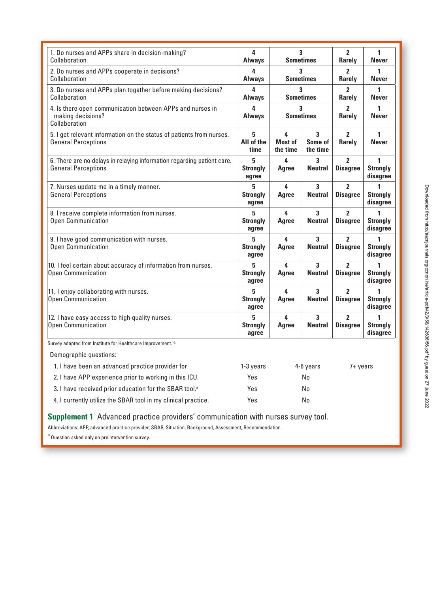| 1. Do nurses and APPs share in decision-making?<br>Collaboration                                     | 4<br><b>Always</b>            | 3<br><b>Sometimes</b>           |                                  | $\overline{2}$<br><b>Rarely</b>   | 1<br><b>Never</b>                |
|------------------------------------------------------------------------------------------------------|-------------------------------|---------------------------------|----------------------------------|-----------------------------------|----------------------------------|
| 2. Do nurses and APPs cooperate in decisions?<br>Collaboration                                       | 4<br><b>Always</b>            | 3<br><b>Sometimes</b>           |                                  | $\mathbf{2}$<br><b>Rarely</b>     | 1<br><b>Never</b>                |
| 3. Do nurses and APPs plan together before making decisions?<br>Collaboration                        | 4<br><b>Always</b>            | 3<br><b>Sometimes</b>           |                                  | $\mathbf{2}$<br><b>Rarely</b>     | 1<br><b>Never</b>                |
| 4. Is there open communication between APPs and nurses in<br>making decisions?<br>Collaboration      | 4<br><b>Always</b>            | 3<br><b>Sometimes</b>           |                                  | $\overline{2}$<br><b>Rarely</b>   | 1<br><b>Never</b>                |
| 5. I get relevant information on the status of patients from nurses.<br><b>General Perceptions</b>   | 5<br>All of the<br>time       | 4<br><b>Most of</b><br>the time | 3<br>Some of<br>the time         | $\overline{2}$<br><b>Rarely</b>   | 1<br><b>Never</b>                |
| 6. There are no delays in relaying information regarding patient care.<br><b>General Perceptions</b> | 5<br><b>Strongly</b><br>agree | 4<br>Agree                      | 3<br><b>Neutral</b>              | $\overline{2}$<br><b>Disagree</b> | 1<br><b>Strongly</b><br>disagree |
| 7. Nurses update me in a timely manner.<br><b>General Perceptions</b>                                | 5<br><b>Strongly</b><br>agree | 4<br>Agree                      | 3<br><b>Neutral</b>              | $\overline{2}$<br><b>Disagree</b> | <b>Strongly</b><br>disagree      |
| 8. I receive complete information from nurses.<br><b>Open Communication</b>                          | 5<br><b>Strongly</b><br>agree | 4<br>Agree                      | 3<br><b>Neutral</b>              | $\overline{2}$<br><b>Disagree</b> | 1<br><b>Strongly</b><br>disagree |
| 9. I have good communication with nurses.<br><b>Open Communication</b>                               | 5<br><b>Strongly</b><br>agree | 4<br>Agree                      | 3<br><b>Neutral</b>              | $\overline{2}$<br><b>Disagree</b> | 1<br><b>Strongly</b><br>disagree |
| 10. I feel certain about accuracy of information from nurses.<br><b>Open Communication</b>           | 5<br><b>Strongly</b><br>agree | 4<br>Agree                      | $\overline{3}$<br><b>Neutral</b> | $\overline{2}$<br><b>Disagree</b> | 1<br><b>Strongly</b><br>disagree |
| 11. I enjoy collaborating with nurses.<br>Open Communication                                         | 5<br><b>Strongly</b><br>agree | 4<br>Agree                      | 3<br><b>Neutral</b>              | $\overline{2}$<br><b>Disagree</b> | <b>Strongly</b><br>disagree      |
| 12. I have easy access to high quality nurses.<br><b>Open Communication</b>                          | 5<br><b>Strongly</b><br>agree | 4<br>Agree                      | 3<br><b>Neutral</b>              | $\overline{2}$<br><b>Disagree</b> | 1<br><b>Strongly</b><br>disagree |

Demographic questions:

| 1. I have been an advanced practice provider for                   | 1-3 years | 4-6 vears | 7+ years |
|--------------------------------------------------------------------|-----------|-----------|----------|
| 2. I have APP experience prior to working in this ICU.             | Yes       | No        |          |
| 3. I have received prior education for the SBAR tool. <sup>3</sup> | Yes       | No        |          |
| 4. I currently utilize the SBAR tool in my clinical practice.      | Yes       | No        |          |

**Supplement 1** Advanced practice providers' communication with nurses survey tool.

Abbreviations: APP, advanced practice provider; SBAR, Situation, Background, Assessment, Recommendation.

a Question asked only on preintervention survey.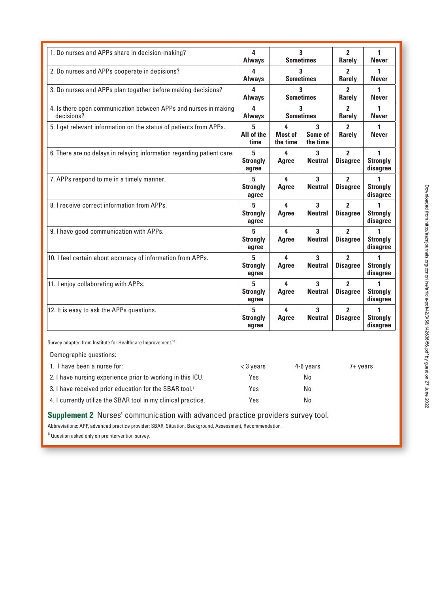| 1. Do nurses and APPs share in decision-making?                                              | 4<br><b>Always</b>            | 3<br><b>Sometimes</b>    |                          | $\overline{2}$<br><b>Rarely</b>   | 1<br><b>Never</b>                |
|----------------------------------------------------------------------------------------------|-------------------------------|--------------------------|--------------------------|-----------------------------------|----------------------------------|
| 2. Do nurses and APPs cooperate in decisions?<br>3<br>4<br><b>Sometimes</b><br><b>Always</b> |                               | 2<br><b>Rarely</b>       | 1<br><b>Never</b>        |                                   |                                  |
| 3. Do nurses and APPs plan together before making decisions?                                 |                               | 3<br><b>Sometimes</b>    |                          | 2<br><b>Rarely</b>                | 1<br><b>Never</b>                |
| 4. Is there open communication between APPs and nurses in making<br>decisions?               | 4<br><b>Always</b>            | 3<br><b>Sometimes</b>    |                          | 2<br>Rarely                       | 1<br><b>Never</b>                |
| 5. I get relevant information on the status of patients from APPs.                           | 5<br>All of the<br>time       | 4<br>Most of<br>the time | 3<br>Some of<br>the time | $\mathbf{2}$<br><b>Rarely</b>     | 1<br><b>Never</b>                |
| 6. There are no delays in relaying information regarding patient care.                       | 5<br><b>Strongly</b><br>agree | 4<br>Agree               | 3<br><b>Neutral</b>      | $\overline{2}$<br><b>Disagree</b> | 1<br><b>Strongly</b><br>disagree |
| 7. APPs respond to me in a timely manner.                                                    | 5<br><b>Strongly</b><br>agree | 4<br>Agree               | 3<br><b>Neutral</b>      | 2<br><b>Disagree</b>              | <b>Strongly</b><br>disagree      |
| 8. I receive correct information from APPs.                                                  | 5<br><b>Strongly</b><br>agree | 4<br>Agree               | 3<br><b>Neutral</b>      | $\overline{2}$<br><b>Disagree</b> | 1<br><b>Strongly</b><br>disagree |
| 9. I have good communication with APPs.                                                      | 5<br><b>Strongly</b><br>agree | 4<br>Agree               | 3<br><b>Neutral</b>      | $\overline{2}$<br><b>Disagree</b> | <b>Strongly</b><br>disagree      |
| 10. I feel certain about accuracy of information from APPs.                                  | 5<br><b>Strongly</b><br>agree | 4<br>Agree               | 3<br><b>Neutral</b>      | $\overline{2}$<br><b>Disagree</b> | 1<br><b>Strongly</b><br>disagree |
| 11. I enjoy collaborating with APPs.                                                         | 5<br><b>Strongly</b><br>agree | 4<br>Agree               | 3<br><b>Neutral</b>      | $\overline{2}$<br><b>Disagree</b> | 1<br><b>Strongly</b><br>disagree |
| 12. It is easy to ask the APPs questions.                                                    | 5<br><b>Strongly</b><br>agree | 4<br>Agree               | 3<br><b>Neutral</b>      | $\overline{2}$<br><b>Disagree</b> | <b>Strongly</b><br>disagree      |

Survey adapted from Institute for Healthcare Improvement.<sup>10.</sup>

Demographic questions:

| 1. I have been a nurse for:                                        | $<$ 3 years | 4-6 vears | $7 + \mathrm{years}$ |
|--------------------------------------------------------------------|-------------|-----------|----------------------|
| 2. I have nursing experience prior to working in this ICU.         | Yes         | No        |                      |
| 3. I have received prior education for the SBAR tool. <sup>8</sup> | Yes         | No        |                      |
| 4. I currently utilize the SBAR tool in my clinical practice.      | Yes         | No        |                      |

**Supplement 2** Nurses' communication with advanced practice providers survey tool.

Abbreviations: APP, advanced practice provider; SBAR, Situation, Background, Assessment, Recommendation.

a Question asked only on preintervention survey.